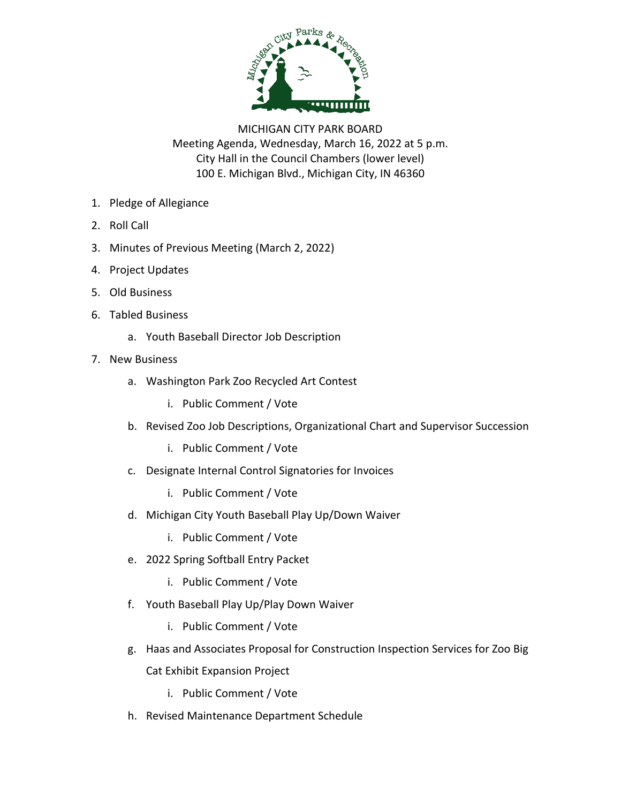

MICHIGAN CITY PARK BOARD Meeting Agenda, Wednesday, March 16, 2022 at 5 p.m. City Hall in the Council Chambers (lower level) 100 E. Michigan Blvd., Michigan City, IN 46360

- 1. Pledge of Allegiance
- 2. Roll Call
- 3. Minutes of Previous Meeting (March 2, 2022)
- 4. Project Updates
- 5. Old Business
- 6. Tabled Business
	- a. Youth Baseball Director Job Description
- 7. New Business
	- a. Washington Park Zoo Recycled Art Contest
		- i. Public Comment / Vote
	- b. Revised Zoo Job Descriptions, Organizational Chart and Supervisor Succession
		- i. Public Comment / Vote
	- c. Designate Internal Control Signatories for Invoices
		- i. Public Comment / Vote
	- d. Michigan City Youth Baseball Play Up/Down Waiver
		- i. Public Comment / Vote
	- e. 2022 Spring Softball Entry Packet
		- i. Public Comment / Vote
	- f. Youth Baseball Play Up/Play Down Waiver
		- i. Public Comment / Vote
	- g. Haas and Associates Proposal for Construction Inspection Services for Zoo Big

Cat Exhibit Expansion Project

- i. Public Comment / Vote
- h. Revised Maintenance Department Schedule